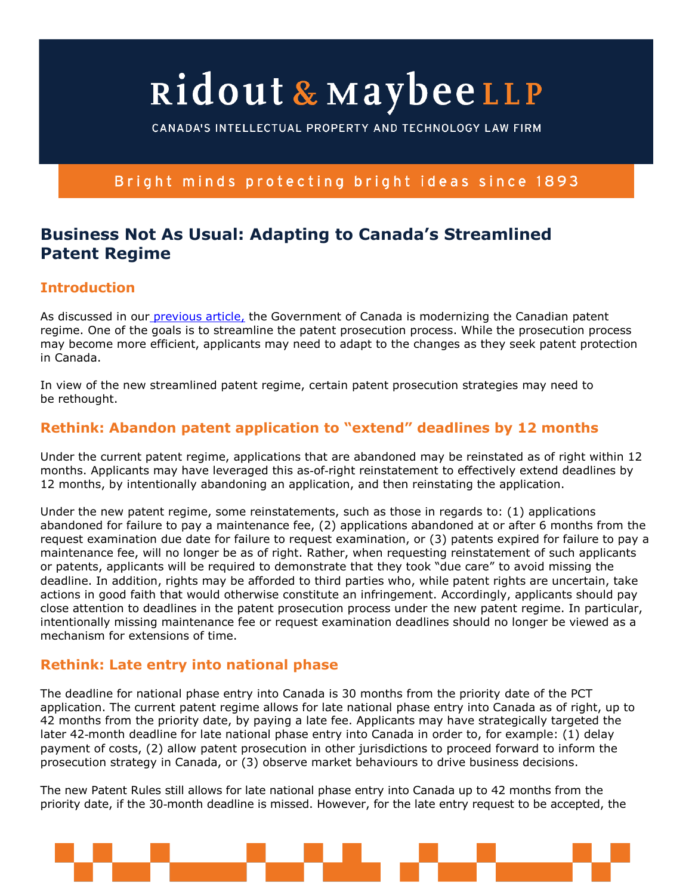# Ridout & MaybeeLLP

CANADA'S INTELLECTUAL PROPERTY AND TECHNOLOGY LAW FIRM

#### Bright minds protecting bright ideas since 1893

### **Business Not As Usual: Adapting to Canada's Streamlined Patent Regime**

#### **Introduction**

As discussed in our previous article, the Government of Canada is modernizing the Canadian patent regime. One of the goals is to streamline the patent prosecution process. While the prosecution process may become more efficient, applicants may need to adapt to the changes as they seek patent protection in Canada.

In view of the new streamlined patent regime, certain patent prosecution strategies may need to be rethought.

#### **Rethink: Abandon patent application to "extend" deadlines by 12 months**

Under the current patent regime, applications that are abandoned may be reinstated as of right within 12 months. Applicants may have leveraged this as-of-right reinstatement to effectively extend deadlines by 12 months, by intentionally abandoning an application, and then reinstating the application.

Under the new patent regime, some reinstatements, such as those in regards to: (1) applications abandoned for failure to pay a maintenance fee, (2) applications abandoned at or after 6 months from the request examination due date for failure to request examination, or (3) patents expired for failure to pay a maintenance fee, will no longer be as of right. Rather, when requesting reinstatement of such applicants or patents, applicants will be required to demonstrate that they took "due care" to avoid missing the deadline. In addition, rights may be afforded to third parties who, while patent rights are uncertain, take actions in good faith that would otherwise constitute an infringement. Accordingly, applicants should pay close attention to deadlines in the patent prosecution process under the new patent regime. In particular, intentionally missing maintenance fee or request examination deadlines should no longer be viewed as a mechanism for extensions of time.

#### **Rethink: Late entry into national phase**

The deadline for national phase entry into Canada is 30 months from the priority date of the PCT application. The current patent regime allows for late national phase entry into Canada as of right, up to 42 months from the priority date, by paying a late fee. Applicants may have strategically targeted the later 42-month deadline for late national phase entry into Canada in order to, for example: (1) delay payment of costs, (2) allow patent prosecution in other jurisdictions to proceed forward to inform the prosecution strategy in Canada, or (3) observe market behaviours to drive business decisions.

The new Patent Rules still allows for late national phase entry into Canada up to 42 months from the priority date, if the 30-month deadline is missed. However, for the late entry request to be accepted, the